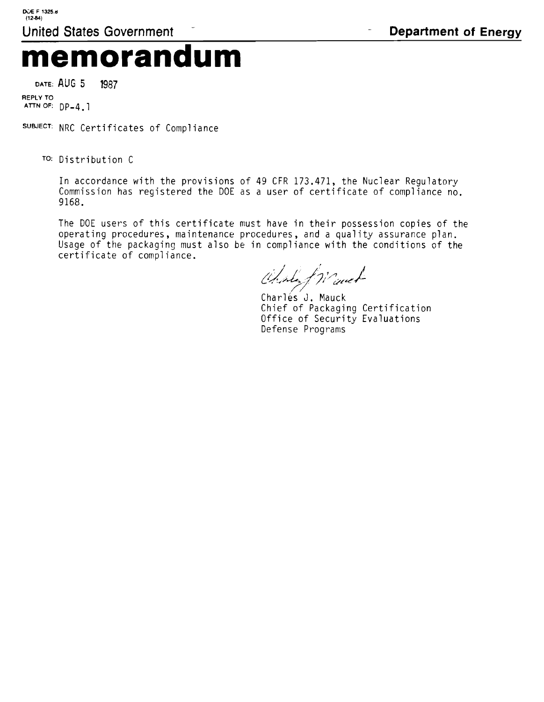## **memorandum**

DATE: AUG 5 1987

REPLY TO **ATTN** OF: Dp-4.1

SUBJECT: NRC Certificates of Compliance

To: Distribution C

In accordance with the provisions of 49 CFR 173.471, the Nuclear Regulatory Commission has registered the DOE as a user of certificate of compliance no. 9168.

The DOE users of this certificate must have in their possession copies of the operating procedures, maintenance procedures, and a quality assurance plan. Usage of the packaging must also be in compliance with the conditions of the certificate of compliance.

Charles friend

Charlés J. Mauck Chief of Packaging Certification Office of Security Evaluations Defense Programs